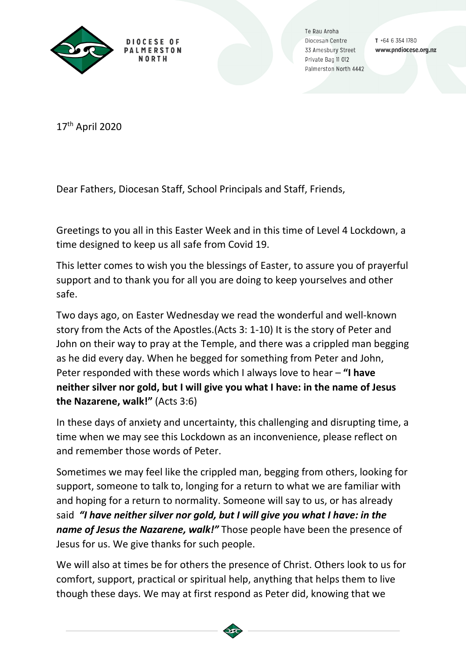

Te Rau Aroha Diocesan Centre 33 Amesbury Street Private Bag II 012 Palmerston North 4442

 $T + 6463541780$ www.pndiocese.org.nz

17th April 2020

Dear Fathers, Diocesan Staff, School Principals and Staff, Friends,

Greetings to you all in this Easter Week and in this time of Level 4 Lockdown, a time designed to keep us all safe from Covid 19.

This letter comes to wish you the blessings of Easter, to assure you of prayerful support and to thank you for all you are doing to keep yourselves and other safe.

Two days ago, on Easter Wednesday we read the wonderful and well-known story from the Acts of the Apostles.(Acts 3: 1-10) It is the story of Peter and John on their way to pray at the Temple, and there was a crippled man begging as he did every day. When he begged for something from Peter and John, Peter responded with these words which I always love to hear – **"I have neither silver nor gold, but I will give you what I have: in the name of Jesus the Nazarene, walk!"** (Acts 3:6)

In these days of anxiety and uncertainty, this challenging and disrupting time, a time when we may see this Lockdown as an inconvenience, please reflect on and remember those words of Peter.

Sometimes we may feel like the crippled man, begging from others, looking for support, someone to talk to, longing for a return to what we are familiar with and hoping for a return to normality. Someone will say to us, or has already said *"I have neither silver nor gold, but I will give you what I have: in the name of Jesus the Nazarene, walk!"* Those people have been the presence of Jesus for us. We give thanks for such people.

We will also at times be for others the presence of Christ. Others look to us for comfort, support, practical or spiritual help, anything that helps them to live though these days. We may at first respond as Peter did, knowing that we